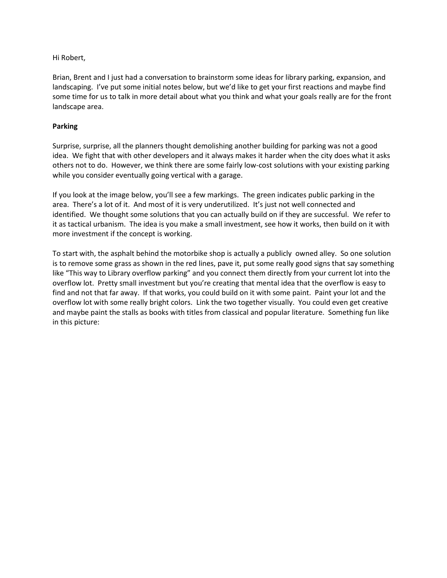## Hi Robert,

Brian, Brent and I just had a conversation to brainstorm some ideas for library parking, expansion, and landscaping. I've put some initial notes below, but we'd like to get your first reactions and maybe find some time for us to talk in more detail about what you think and what your goals really are for the front landscape area.

## **Parking**

Surprise, surprise, all the planners thought demolishing another building for parking was not a good idea. We fight that with other developers and it always makes it harder when the city does what it asks others not to do. However, we think there are some fairly low-cost solutions with your existing parking while you consider eventually going vertical with a garage.

If you look at the image below, you'll see a few markings. The green indicates public parking in the area. There's a lot of it. And most of it is very underutilized. It's just not well connected and identified. We thought some solutions that you can actually build on if they are successful. We refer to it as tactical urbanism. The idea is you make a small investment, see how it works, then build on it with more investment if the concept is working.

To start with, the asphalt behind the motorbike shop is actually a publicly owned alley. So one solution is to remove some grass as shown in the red lines, pave it, put some really good signs that say something like "This way to Library overflow parking" and you connect them directly from your current lot into the overflow lot. Pretty small investment but you're creating that mental idea that the overflow is easy to find and not that far away. If that works, you could build on it with some paint. Paint your lot and the overflow lot with some really bright colors. Link the two together visually. You could even get creative and maybe paint the stalls as books with titles from classical and popular literature. Something fun like in this picture: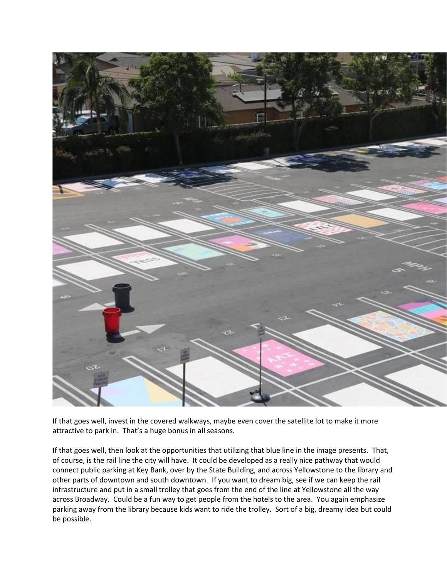

If that goes well, invest in the covered walkways, maybe even cover the satellite lot to make it more attractive to park in. That's a huge bonus in all seasons.

If that goes well, then look at the opportunities that utilizing that blue line in the image presents. That, of course, is the rail line the city will have. It could be developed as a really nice pathway that would connect public parking at Key Bank, over by the State Building, and across Yellowstone to the library and other parts of downtown and south downtown. If you want to dream big, see if we can keep the rail infrastructure and put in a small trolley that goes from the end of the line at Yellowstone all the way across Broadway. Could be a fun way to get people from the hotels to the area. You again emphasize parking away from the library because kids want to ride the trolley. Sort of a big, dreamy idea but could be possible.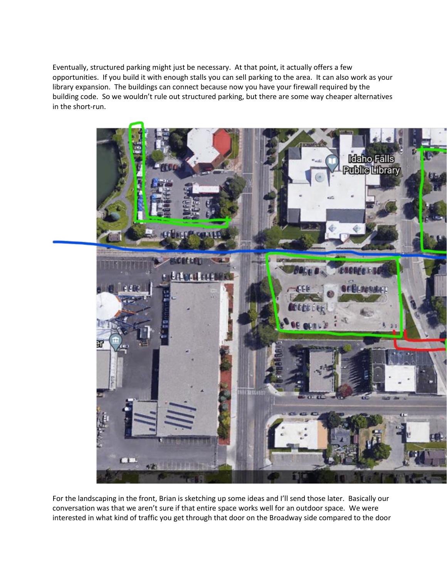Eventually, structured parking might just be necessary. At that point, it actually offers a few opportunities. If you build it with enough stalls you can sell parking to the area. It can also work as your library expansion. The buildings can connect because now you have your firewall required by the building code. So we wouldn't rule out structured parking, but there are some way cheaper alternatives in the short-run.



For the landscaping in the front, Brian is sketching up some ideas and I'll send those later. Basically our conversation was that we aren't sure if that entire space works well for an outdoor space. We were interested in what kind of traffic you get through that door on the Broadway side compared to the door